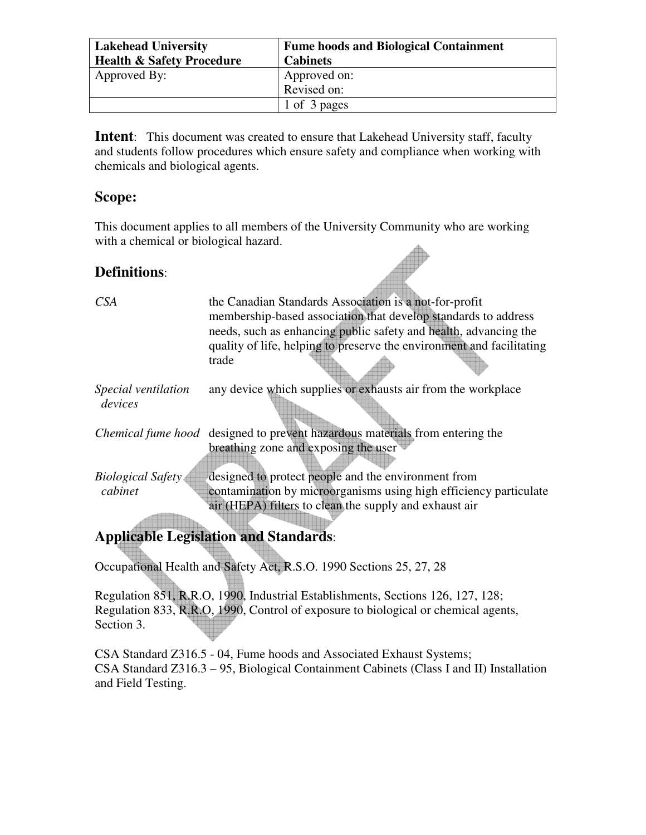| <b>Lakehead University</b><br><b>Health &amp; Safety Procedure</b> | <b>Fume hoods and Biological Containment</b><br><b>Cabinets</b> |
|--------------------------------------------------------------------|-----------------------------------------------------------------|
| Approved By:                                                       | Approved on:                                                    |
|                                                                    | Revised on:                                                     |
|                                                                    | 1 of 3 pages                                                    |

**Intent:** This document was created to ensure that Lakehead University staff, faculty and students follow procedures which ensure safety and compliance when working with chemicals and biological agents.

### **Scope:**

This document applies to all members of the University Community who are working with a chemical or biological hazard.

## **Definitions**:

| <i>CSA</i>               | the Canadian Standards Association is a not-for-profit                              |
|--------------------------|-------------------------------------------------------------------------------------|
|                          | membership-based association that develop standards to address                      |
|                          | needs, such as enhancing public safety and health, advancing the                    |
|                          | quality of life, helping to preserve the environment and facilitating               |
|                          | trade                                                                               |
| Special ventilation      | any device which supplies or exhausts air from the workplace                        |
| devices                  |                                                                                     |
|                          | <i>Chemical fume hood</i> designed to prevent hazardous materials from entering the |
|                          | breathing zone and exposing the user                                                |
|                          |                                                                                     |
| <b>Biological Safety</b> | designed to protect people and the environment from                                 |
| cabinet                  | contamination by microorganisms using high efficiency particulate                   |
|                          | air (HEPA) filters to clean the supply and exhaust air                              |
|                          |                                                                                     |
|                          | Annlicable Legislation and Standards.                                               |

**Applicable Legislation and Standards**:

Occupational Health and Safety Act, R.S.O. 1990 Sections 25, 27, 28

Regulation 851, R.R.O, 1990, Industrial Establishments, Sections 126, 127, 128; Regulation 833, R.R.O, 1990, Control of exposure to biological or chemical agents, Section 3.

CSA Standard Z316.5 - 04, Fume hoods and Associated Exhaust Systems; CSA Standard Z316.3 – 95, Biological Containment Cabinets (Class I and II) Installation and Field Testing.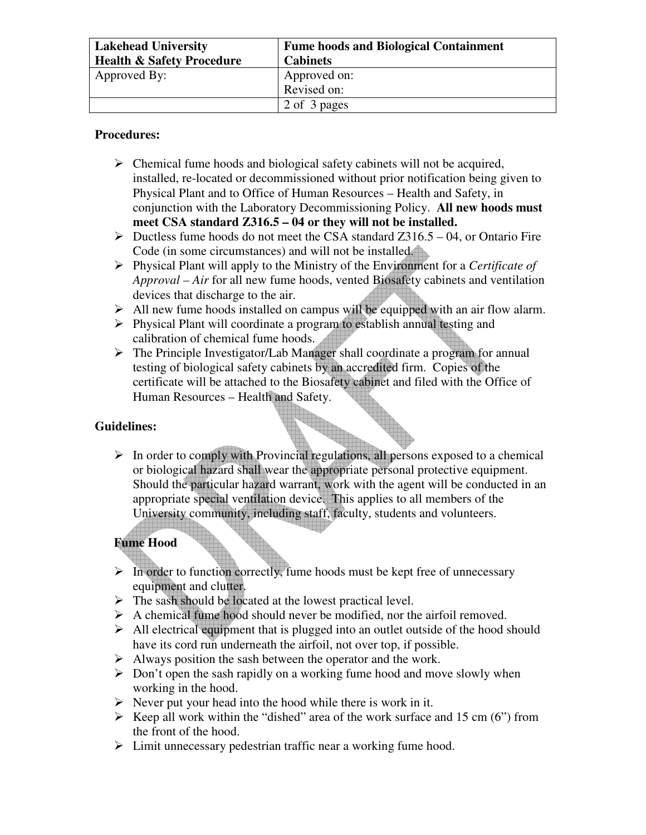| <b>Lakehead University</b>           | <b>Fume hoods and Biological Containment</b> |
|--------------------------------------|----------------------------------------------|
| <b>Health &amp; Safety Procedure</b> | <b>Cabinets</b>                              |
| Approved By:                         | Approved on:                                 |
|                                      | Revised on:                                  |
|                                      | 2 of 3 pages                                 |

#### **Procedures:**

- $\triangleright$  Chemical fume hoods and biological safety cabinets will not be acquired, installed, re-located or decommissioned without prior notification being given to Physical Plant and to Office of Human Resources – Health and Safety, in conjunction with the Laboratory Decommissioning Policy. **All new hoods must meet CSA standard Z316.5 – 04 or they will not be installed.**
- $\triangleright$  Ductless fume hoods do not meet the CSA standard Z316.5 04, or Ontario Fire Code (in some circumstances) and will not be installed.
- Physical Plant will apply to the Ministry of the Environment for a *Certificate of Approval – Air* for all new fume hoods, vented Biosafety cabinets and ventilation devices that discharge to the air.
- $\triangleright$  All new fume hoods installed on campus will be equipped with an air flow alarm.
- $\triangleright$  Physical Plant will coordinate a program to establish annual testing and calibration of chemical fume hoods.
- $\triangleright$  The Principle Investigator/Lab Manager shall coordinate a program for annual testing of biological safety cabinets by an accredited firm. Copies of the certificate will be attached to the Biosafety cabinet and filed with the Office of Human Resources – Health and Safety.

#### **Guidelines:**

 $\triangleright$  In order to comply with Provincial regulations, all persons exposed to a chemical or biological hazard shall wear the appropriate personal protective equipment. Should the particular hazard warrant, work with the agent will be conducted in an appropriate special ventilation device. This applies to all members of the University community, including staff, faculty, students and volunteers.

## **Fume Hood**

- $\triangleright$  In order to function correctly, fume hoods must be kept free of unnecessary equipment and clutter.
- $\triangleright$  The sash should be located at the lowest practical level.
- $\triangleright$  A chemical fume hood should never be modified, nor the airfoil removed.
- $\triangleright$  All electrical equipment that is plugged into an outlet outside of the hood should have its cord run underneath the airfoil, not over top, if possible.
- $\triangleright$  Always position the sash between the operator and the work.
- $\triangleright$  Don't open the sash rapidly on a working fume hood and move slowly when working in the hood.
- $\triangleright$  Never put your head into the hood while there is work in it.
- Exercise Neep all work within the "dished" area of the work surface and 15 cm (6") from the front of the hood.
- $\triangleright$  Limit unnecessary pedestrian traffic near a working fume hood.